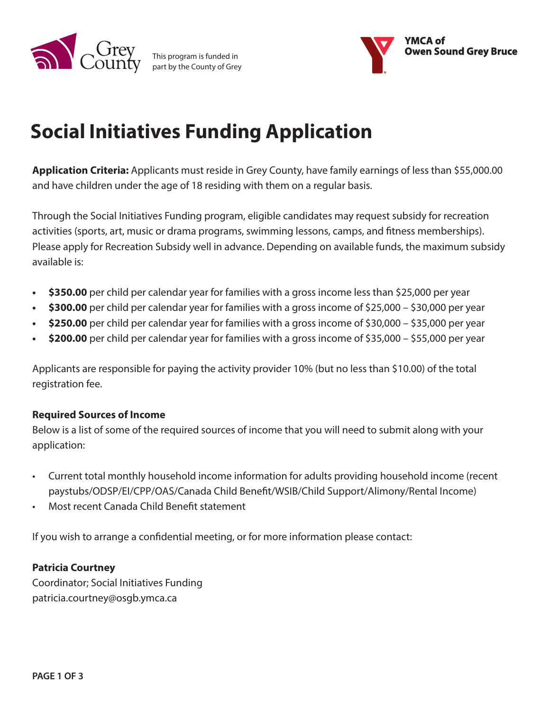

This program is funded in part by the County of Grey



# **Social Initiatives Funding Application**

**Application Criteria:** Applicants must reside in Grey County, have family earnings of less than \$55,000.00 and have children under the age of 18 residing with them on a regular basis.

Through the Social Initiatives Funding program, eligible candidates may request subsidy for recreation activities (sports, art, music or drama programs, swimming lessons, camps, and fitness memberships). Please apply for Recreation Subsidy well in advance. Depending on available funds, the maximum subsidy available is:

- **• \$350.00** per child per calendar year for families with a gross income less than \$25,000 per year
- **• \$300.00** per child per calendar year for families with a gross income of \$25,000 \$30,000 per year
- **• \$250.00** per child per calendar year for families with a gross income of \$30,000 \$35,000 per year
- **• \$200.00** per child per calendar year for families with a gross income of \$35,000 \$55,000 per year

Applicants are responsible for paying the activity provider 10% (but no less than \$10.00) of the total registration fee.

### **Required Sources of Income**

Below is a list of some of the required sources of income that you will need to submit along with your application:

- Current total monthly household income information for adults providing household income (recent paystubs/ODSP/EI/CPP/OAS/Canada Child Benefit/WSIB/Child Support/Alimony/Rental Income)
- Most recent Canada Child Benefit statement

If you wish to arrange a confidential meeting, or for more information please contact:

### **Patricia Courtney**

Coordinator; Social Initiatives Funding patricia.courtney@osgb.ymca.ca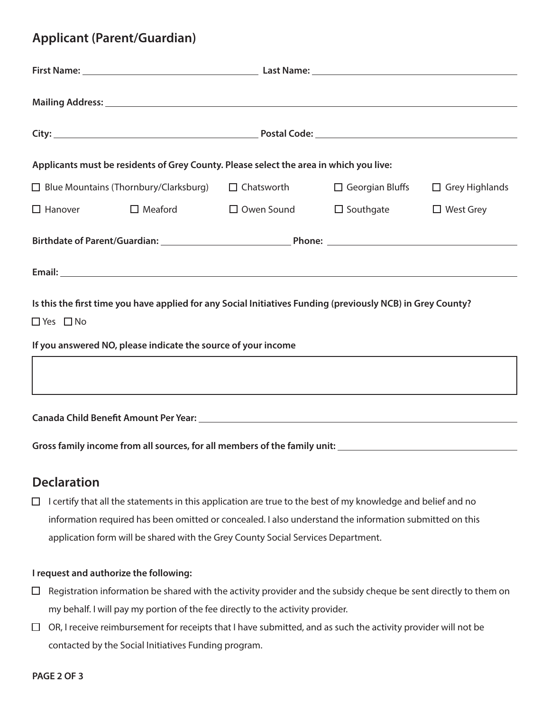### **Applicant (Parent/Guardian)**

|                      | Mailing Address: National Accounts and Accounts and Accounts and Accounts and Accounts and Accounts and Accounts and Accounts and Accounts and Accounts and Accounts and Accounts and Accounts and Accounts and Accounts and A |                   |                  |                                              |  |  |
|----------------------|--------------------------------------------------------------------------------------------------------------------------------------------------------------------------------------------------------------------------------|-------------------|------------------|----------------------------------------------|--|--|
|                      |                                                                                                                                                                                                                                |                   |                  |                                              |  |  |
|                      | Applicants must be residents of Grey County. Please select the area in which you live:                                                                                                                                         |                   |                  |                                              |  |  |
|                      | $\Box$ Blue Mountains (Thornbury/Clarksburg)                                                                                                                                                                                   | $\Box$ Chatsworth |                  | $\Box$ Georgian Bluffs $\Box$ Grey Highlands |  |  |
| $\Box$ Hanover       | $\Box$ Meaford                                                                                                                                                                                                                 | $\Box$ Owen Sound | $\Box$ Southgate | $\Box$ West Grey                             |  |  |
|                      |                                                                                                                                                                                                                                |                   |                  |                                              |  |  |
|                      |                                                                                                                                                                                                                                |                   |                  |                                              |  |  |
|                      | Is this the first time you have applied for any Social Initiatives Funding (previously NCB) in Grey County?                                                                                                                    |                   |                  |                                              |  |  |
| $\Box$ Yes $\Box$ No |                                                                                                                                                                                                                                |                   |                  |                                              |  |  |
|                      | If you answered NO, please indicate the source of your income                                                                                                                                                                  |                   |                  |                                              |  |  |
|                      |                                                                                                                                                                                                                                |                   |                  |                                              |  |  |
|                      | ,我们也不会有什么。""我们的人,我们也不会有什么?""我们的人,我们也不会有什么?""我们的人,我们也不会有什么?""我们的人,我们也不会有什么?""我们的人                                                                                                                                               |                   |                  |                                              |  |  |
|                      |                                                                                                                                                                                                                                |                   |                  |                                              |  |  |
|                      |                                                                                                                                                                                                                                |                   |                  |                                              |  |  |

### **Declaration**

 $\Box$  I certify that all the statements in this application are true to the best of my knowledge and belief and no information required has been omitted or concealed. I also understand the information submitted on this application form will be shared with the Grey County Social Services Department.

#### **I request and authorize the following:**

- $\Box$  Registration information be shared with the activity provider and the subsidy cheque be sent directly to them on my behalf. I will pay my portion of the fee directly to the activity provider.
- $\Box$  OR, I receive reimbursement for receipts that I have submitted, and as such the activity provider will not be contacted by the Social Initiatives Funding program.